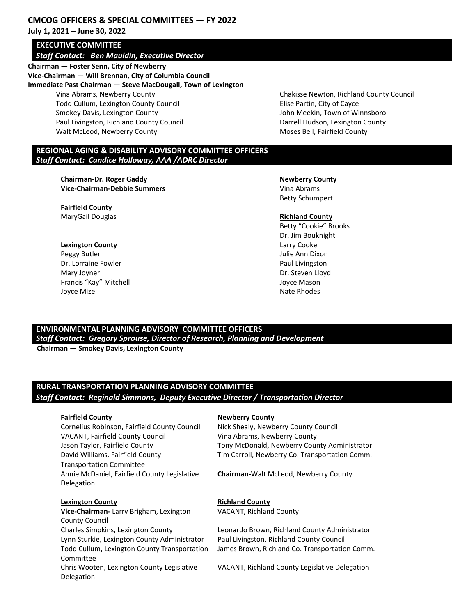## **CMCOG OFFICERS & SPECIAL COMMITTEES — FY 2022 July 1, 2021 – June 30, 2022**

# **EXECUTIVE COMMITTEE**

## *Staff Contact: Ben Mauldin, Executive Director*

**Chairman — Foster Senn, City of Newberry Vice-Chairman — Will Brennan, City of Columbia Council Immediate Past Chairman — Steve MacDougall, Town of Lexington** Vina Abrams, Newberry County Todd Cullum, Lexington County Council Smokey Davis, Lexington County Paul Livingston, Richland County Council Walt McLeod, Newberry County

Chakisse Newton, Richland County Council Elise Partin, City of Cayce John Meekin, Town of Winnsboro Darrell Hudson, Lexington County Moses Bell, Fairfield County

### **REGIONAL AGING & DISABILITY ADVISORY COMMITTEE OFFICERS**  *Staff Contact: Candice Holloway, AAA /ADRC Director*

**Chairman-Dr. Roger Gaddy**  Newberry County **Vice-Chairman-Debbie Summers** Vina Abrams

**Fairfield County MaryGail Douglas Richland County Richland County** 

**Lexington County Larry Cooke** Peggy Butler **Disk and Disk and Disk and Disk and Disk and Disk and Disk and Disk and Disk and Disk and Disk an** Dr. Lorraine Fowler **Paul Livingston** Paul Livingston Mary Joyner **Dr. Steven Lloyd Dr. Steven Lloyd** Francis "Kay" Mitchell **Gallery Controller Controller Controller Controller Controller Controller Controller Controller Controller Controller Controller Controller Controller Controller Controller Controller Controller Con** 

Betty Schumpert

Betty "Cookie" Brooks Dr. Jim Bouknight Joyce Mize **National Community Community** Community Community Community Community Community Community Community Community Community Community Community Community Community Community Community Community Community Community

## **ENVIRONMENTAL PLANNING ADVISORY COMMITTEE OFFICERS**

*Staff Contact: Gregory Sprouse, Director of Research, Planning and Development* 

 **Chairman — Smokey Davis, Lexington County**

## **RURAL TRANSPORTATION PLANNING ADVISORY COMMITTEE**  *Staff Contact: Reginald Simmons, Deputy Executive Director / Transportation Director*

Cornelius Robinson, Fairfield County Council Nick Shealy, Newberry County Council VACANT, Fairfield County Council Vina Abrams, Newberry County David Williams, Fairfield County Transportation Committee Annie McDaniel, Fairfield County Legislative Delegation

### **Lexington County Richland County**

**Vice-Chairman-** Larry Brigham, Lexington County Council Lynn Sturkie, Lexington County Administrator Paul Livingston, Richland County Council Todd Cullum, Lexington County Transportation Committee Chris Wooten, Lexington County Legislative Delegation

### **Fairfield County Newberry County**

Jason Taylor, Fairfield County Tony McDonald, Newberry County Administrator Tim Carroll, Newberry Co. Transportation Comm.

**Chairman-**Walt McLeod, Newberry County

VACANT, Richland County

Charles Simpkins, Lexington County Leonardo Brown, Richland County Administrator James Brown, Richland Co. Transportation Comm.

VACANT, Richland County Legislative Delegation